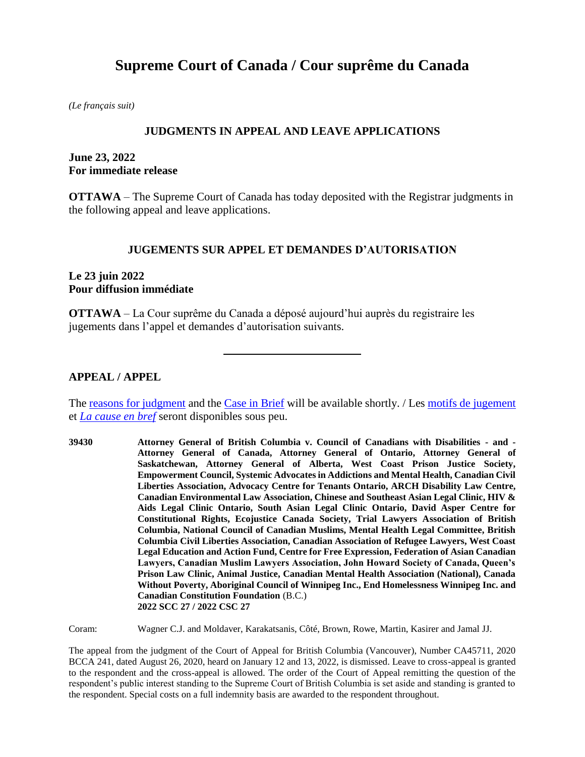# **Supreme Court of Canada / Cour suprême du Canada**

*(Le français suit)*

#### **JUDGMENTS IN APPEAL AND LEAVE APPLICATIONS**

## **June 23, 2022 For immediate release**

**OTTAWA** – The Supreme Court of Canada has today deposited with the Registrar judgments in the following appeal and leave applications.

#### **JUGEMENTS SUR APPEL ET DEMANDES D'AUTORISATION**

## **Le 23 juin 2022 Pour diffusion immédiate**

**OTTAWA** – La Cour suprême du Canada a déposé aujourd'hui auprès du registraire les jugements dans l'appel et demandes d'autorisation suivants.

#### **APPEAL / APPEL**

The <u>reasons for judgment</u> and the [Case in Brief](https://www.scc-csc.ca/case-dossier/cb/index-eng.aspx) will be available shortly. *A* Le[s motifs de jugement](https://decisions.scc-csc.ca/scc-csc/scc-csc/fr/nav_date.do) et *[La cause en bref](https://www.scc-csc.ca/case-dossier/cb/index-fra.aspx)* seront disponibles sous peu.

**39430 Attorney General of British Columbia v. Council of Canadians with Disabilities - and - Attorney General of Canada, Attorney General of Ontario, Attorney General of Saskatchewan, Attorney General of Alberta, West Coast Prison Justice Society, Empowerment Council, Systemic Advocates in Addictions and Mental Health, Canadian Civil Liberties Association, Advocacy Centre for Tenants Ontario, ARCH Disability Law Centre, Canadian Environmental Law Association, Chinese and Southeast Asian Legal Clinic, HIV & Aids Legal Clinic Ontario, South Asian Legal Clinic Ontario, David Asper Centre for Constitutional Rights, Ecojustice Canada Society, Trial Lawyers Association of British Columbia, National Council of Canadian Muslims, Mental Health Legal Committee, British Columbia Civil Liberties Association, Canadian Association of Refugee Lawyers, West Coast Legal Education and Action Fund, Centre for Free Expression, Federation of Asian Canadian Lawyers, Canadian Muslim Lawyers Association, John Howard Society of Canada, Queen's Prison Law Clinic, Animal Justice, Canadian Mental Health Association (National), Canada Without Poverty, Aboriginal Council of Winnipeg Inc., End Homelessness Winnipeg Inc. and Canadian Constitution Foundation** (B.C.) **2022 SCC 27 / 2022 CSC 27**

Coram: Wagner C.J. and Moldaver, Karakatsanis, Côté, Brown, Rowe, Martin, Kasirer and Jamal JJ.

The appeal from the judgment of the Court of Appeal for British Columbia (Vancouver), Number CA45711, 2020 BCCA 241, dated August 26, 2020, heard on January 12 and 13, 2022, is dismissed. Leave to cross-appeal is granted to the respondent and the cross-appeal is allowed. The order of the Court of Appeal remitting the question of the respondent's public interest standing to the Supreme Court of British Columbia is set aside and standing is granted to the respondent. Special costs on a full indemnity basis are awarded to the respondent throughout.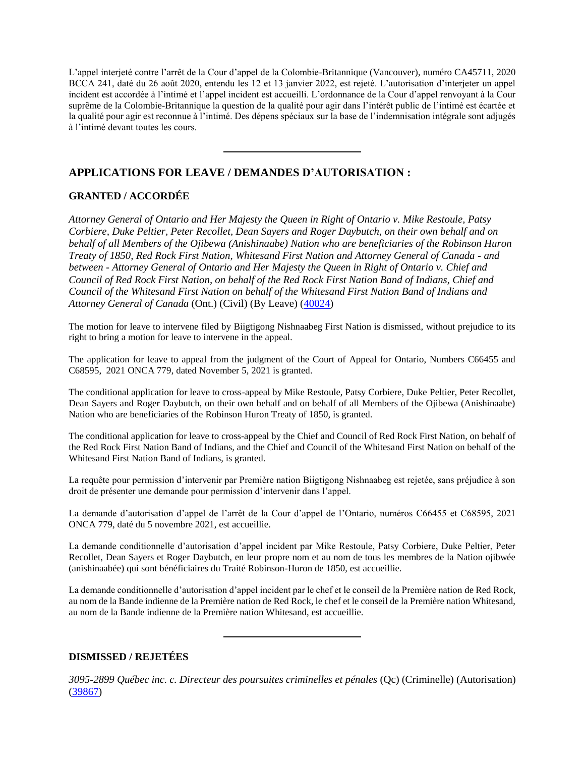L'appel interjeté contre l'arrêt de la Cour d'appel de la Colombie-Britannique (Vancouver), numéro CA45711, 2020 BCCA 241, daté du 26 août 2020, entendu les 12 et 13 janvier 2022, est rejeté. L'autorisation d'interjeter un appel incident est accordée à l'intimé et l'appel incident est accueilli. L'ordonnance de la Cour d'appel renvoyant à la Cour suprême de la Colombie-Britannique la question de la qualité pour agir dans l'intérêt public de l'intimé est écartée et la qualité pour agir est reconnue à l'intimé. Des dépens spéciaux sur la base de l'indemnisation intégrale sont adjugés à l'intimé devant toutes les cours.

# **APPLICATIONS FOR LEAVE / DEMANDES D'AUTORISATION :**

## **GRANTED / ACCORDÉE**

*Attorney General of Ontario and Her Majesty the Queen in Right of Ontario v. Mike Restoule, Patsy Corbiere, Duke Peltier, Peter Recollet, Dean Sayers and Roger Daybutch, on their own behalf and on behalf of all Members of the Ojibewa (Anishinaabe) Nation who are beneficiaries of the Robinson Huron Treaty of 1850, Red Rock First Nation, Whitesand First Nation and Attorney General of Canada - and between - Attorney General of Ontario and Her Majesty the Queen in Right of Ontario v. Chief and Council of Red Rock First Nation, on behalf of the Red Rock First Nation Band of Indians, Chief and Council of the Whitesand First Nation on behalf of the Whitesand First Nation Band of Indians and Attorney General of Canada* (Ont.) (Civil) (By Leave) [\(40024\)](https://www.scc-csc.ca/case-dossier/info/sum-som-eng.aspx?cas=40024)

The motion for leave to intervene filed by Biigtigong Nishnaabeg First Nation is dismissed, without prejudice to its right to bring a motion for leave to intervene in the appeal.

The application for leave to appeal from the judgment of the Court of Appeal for Ontario, Numbers C66455 and C68595, 2021 ONCA 779, dated November 5, 2021 is granted.

The conditional application for leave to cross-appeal by Mike Restoule, Patsy Corbiere, Duke Peltier, Peter Recollet, Dean Sayers and Roger Daybutch, on their own behalf and on behalf of all Members of the Ojibewa (Anishinaabe) Nation who are beneficiaries of the Robinson Huron Treaty of 1850, is granted.

The conditional application for leave to cross-appeal by the Chief and Council of Red Rock First Nation, on behalf of the Red Rock First Nation Band of Indians, and the Chief and Council of the Whitesand First Nation on behalf of the Whitesand First Nation Band of Indians, is granted.

La requête pour permission d'intervenir par Première nation Biigtigong Nishnaabeg est rejetée, sans préjudice à son droit de présenter une demande pour permission d'intervenir dans l'appel.

La demande d'autorisation d'appel de l'arrêt de la Cour d'appel de l'Ontario, numéros C66455 et C68595, 2021 ONCA 779, daté du 5 novembre 2021, est accueillie.

La demande conditionnelle d'autorisation d'appel incident par Mike Restoule, Patsy Corbiere, Duke Peltier, Peter Recollet, Dean Sayers et Roger Daybutch, en leur propre nom et au nom de tous les membres de la Nation ojibwée (anishinaabée) qui sont bénéficiaires du Traité Robinson-Huron de 1850, est accueillie.

La demande conditionnelle d'autorisation d'appel incident par le chef et le conseil de la Première nation de Red Rock, au nom de la Bande indienne de la Première nation de Red Rock, le chef et le conseil de la Première nation Whitesand, au nom de la Bande indienne de la Première nation Whitesand, est accueillie.

#### **DISMISSED / REJETÉES**

*3095-2899 Québec inc. c. Directeur des poursuites criminelles et pénales* (Qc) (Criminelle) (Autorisation) [\(39867\)](https://www.scc-csc.ca/case-dossier/info/sum-som-fra.aspx?cas=39867)